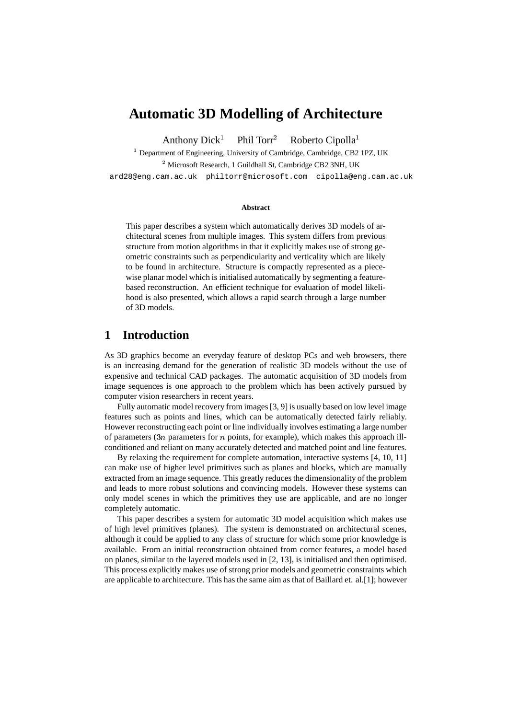# **Automatic 3D Modelling of Architecture**

Anthony Dick Phil Torr<sup>2</sup> Roberto Cipolla

<sup>1</sup> Department of Engineering, University of Cambridge, Cambridge, CB2 1PZ, UK <sup>2</sup> Microsoft Research, 1 Guildhall St, Cambridge CB2 3NH, UK

ard28@eng.cam.ac.uk philtorr@microsoft.com cipolla@eng.cam.ac.uk

#### **Abstract**

This paper describes a system which automatically derives 3D models of architectural scenes from multiple images. This system differs from previous structure from motion algorithms in that it explicitly makes use of strong geometric constraints such as perpendicularity and verticality which are likely to be found in architecture. Structure is compactly represented as a piecewise planar model which is initialised automatically by segmenting a featurebased reconstruction. An efficient technique for evaluation of model likelihood is also presented, which allows a rapid search through a large number of 3D models.

### **1 Introduction**

As 3D graphics become an everyday feature of desktop PCs and web browsers, there is an increasing demand for the generation of realistic 3D models without the use of expensive and technical CAD packages. The automatic acquisition of 3D models from image sequences is one approach to the problem which has been actively pursued by computer vision researchers in recent years.

Fully automatic model recovery from images[3, 9] is usually based on low level image features such as points and lines, which can be automatically detected fairly reliably. However reconstructing each point or line individually involves estimating a large number of parameters  $(3n)$  parameters for n points, for example), which makes this approach illconditioned and reliant on many accurately detected and matched point and line features.

By relaxing the requirement for complete automation, interactive systems [4, 10, 11] can make use of higher level primitives such as planes and blocks, which are manually extracted from an image sequence. This greatly reduces the dimensionality of the problem and leads to more robust solutions and convincing models. However these systems can only model scenes in which the primitives they use are applicable, and are no longer completely automatic.

This paper describes a system for automatic 3D model acquisition which makes use of high level primitives (planes). The system is demonstrated on architectural scenes, although it could be applied to any class of structure for which some prior knowledge is available. From an initial reconstruction obtained from corner features, a model based on planes, similar to the layered models used in [2, 13], is initialised and then optimised. This process explicitly makes use of strong prior models and geometric constraints which are applicable to architecture. This has the same aim as that of Baillard et. al.[1]; however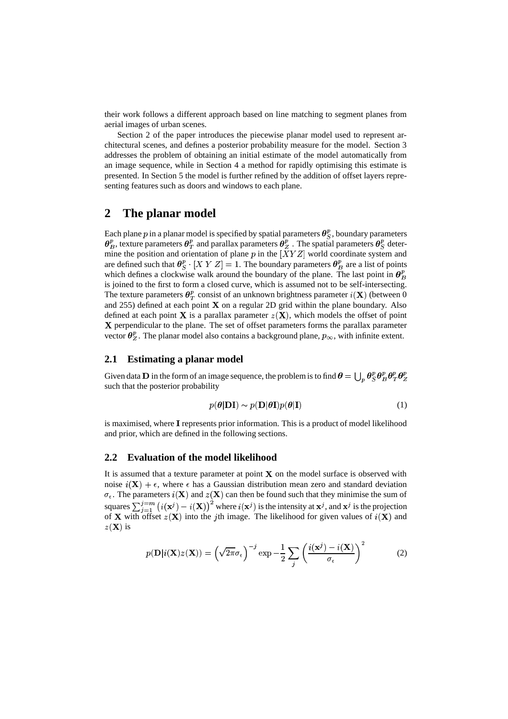their work follows a different approach based on line matching to segment planes from aerial images of urban scenes.

Section 2 of the paper introduces the piecewise planar model used to represent architectural scenes, and defines a posterior probability measure for the model. Section 3 addresses the problem of obtaining an initial estimate of the model automatically from an image sequence, while in Section 4 a method for rapidly optimising this estimate is presented. In Section 5 the model is further refined by the addition of offset layers representing features such as doors and windows to each plane.

### **2 The planar model**

Each plane  $p$  in a planar model is specified by spatial parameters  $\bm{\theta}_{S}^{p}$ , boundary parameters  $\theta_R^p$ , texture parameters  $\theta_T^p$  and parallax parameters  $\theta_Z^p$  . The spatial parameters  $\theta_S^p$  determine the position and orientation of plane p in the  $[XYZ]$  world coordinate system and are defined such that  $\theta_{S}^{p} \cdot [X Y Z] = 1$ . The boundary parameters  $\theta_{R}^{p}$  are a list of points which defines a clockwise walk around the boundary of the plane. The last point in  $\theta_R^p$ is joined to the first to form a closed curve, which is assumed not to be self-intersecting. The texture parameters  $\theta_T^p$  consist of an unknown brightness parameter  $i(\mathbf{X})$  (between 0 and 255) defined at each point  $X$  on a regular 2D grid within the plane boundary. Also defined at each point **X** is a parallax parameter  $z(X)$ , which models the offset of point X perpendicular to the plane. The set of offset parameters forms the parallax parameter vector  $\theta_z^p$ . The planar model also contains a background plane,  $p_{\infty}$ , with infinite extent.

### **2.1 Estimating a planar model**

Given data **D** in the form of an image sequence, the problem is to find  $\theta = \bigcup_p \theta_S^p \theta_B^p \theta_T^p \theta_Z^p$  such that the posterior probability

$$
p(\boldsymbol{\theta}|\mathbf{DI}) \sim p(\mathbf{D}|\boldsymbol{\theta}\mathbf{I})p(\boldsymbol{\theta}|\mathbf{I})
$$
\n(1)

is maximised, where I represents prior information. This is a product of model likelihood and prior, which are defined in the following sections.

#### **2.2 Evaluation of the model likelihood**

It is assumed that a texture parameter at point  $X$  on the model surface is observed with noise  $i(\mathbf{X}) + \epsilon$ , where  $\epsilon$  has a Gaussian distribution mean zero and standard deviation  $\sigma_{\epsilon}$ . The parameters  $i(X)$  and  $z(X)$  can then be found such that they minimise the sum of squares  $\sum_{i=1}^{j=m} (i(\mathbf{x}^j) - i(\mathbf{X}))^2$  where  $i(\mathbf{x}^j)$  is the intensity at  $\mathbf{x}^j$ , and  $\mathbf{x}^j$  is the projection of **X** with offset  $z(\mathbf{X})$  into the jth image. The likelihood for given values of  $i(\mathbf{X})$  and  $z(\mathbf{X})$  is

$$
p(\mathbf{D}|i(\mathbf{X})z(\mathbf{X})) = \left(\sqrt{2\pi}\sigma_{\epsilon}\right)^{-j} \exp\left(-\frac{1}{2}\sum_{j}\left(\frac{i(\mathbf{x}^{j}) - i(\mathbf{X})}{\sigma_{\epsilon}}\right)^{2} \tag{2}
$$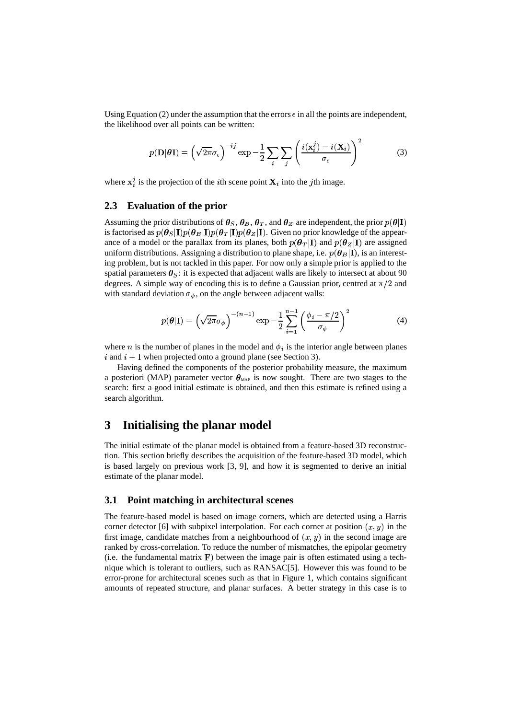Using Equation (2) under the assumption that the errors  $\epsilon$  in all the points are independent, the likelihood over all points can be written:

$$
p(\mathbf{D}|\boldsymbol{\theta}\mathbf{I}) = \left(\sqrt{2\pi}\sigma_{\epsilon}\right)^{-ij} \exp\left(-\frac{1}{2}\sum_{i}\sum_{j}\left(\frac{i(\mathbf{x}_{i}^{j}) - i(\mathbf{X}_{i})}{\sigma_{\epsilon}}\right)^{2} \tag{3}
$$

where  $x_i^j$  is the projection of the *i*th scene point  $X_i$  into the *j*th image.

#### **2.3 Evaluation of the prior**

Assuming the prior distributions of  $\theta_S$ ,  $\theta_B$ ,  $\theta_T$ , and  $\theta_Z$  are independent, the prior  $p(\theta|I)$ is factorised as  $p(\theta_S | \mathbf{I}) p(\theta_B | \mathbf{I}) p(\theta_T | \mathbf{I}) p(\theta_Z | \mathbf{I})$ . Given no prior knowledge of the appearance of a model or the parallax from its planes, both  $p(\theta_T|\mathbf{I})$  and  $p(\theta_Z|\mathbf{I})$  are assigned uniform distributions. Assigning a distribution to plane shape, i.e.  $p(\boldsymbol{\theta}_B | \mathbf{I})$ , is an interesting problem, but is not tackled in this paper. For now only a simple prior is applied to the spatial parameters  $\theta_{S}$ : it is expected that adjacent walls are likely to intersect at about 90 degrees. A simple way of encoding this is to define a Gaussian prior, centred at  $\pi/2$  and with standard deviation  $\sigma_{\phi}$ , on the angle between adjacent walls:

$$
p(\boldsymbol{\theta}|\mathbf{I}) = \left(\sqrt{2\pi}\sigma_{\phi}\right)^{-(n-1)} \exp\left(-\frac{1}{2}\sum_{i=1}^{n-1} \left(\frac{\phi_i - \pi/2}{\sigma_{\phi}}\right)^2\right) \tag{4}
$$

where *n* is the number of planes in the model and  $\phi_i$  is the interior angle between planes  $i$  and  $i + 1$  when projected onto a ground plane (see Section 3).

Having defined the components of the posterior probability measure, the maximum a posteriori (MAP) parameter vector  $\theta_{MAP}$  is now sought. There are two stages to the search: first a good initial estimate is obtained, and then this estimate is refined using a search algorithm.

### **3 Initialising the planar model**

The initial estimate of the planar model is obtained from a feature-based 3D reconstruction. This section briefly describes the acquisition of the feature-based 3D model, which is based largely on previous work [3, 9], and how it is segmented to derive an initial estimate of the planar model.

### **3.1 Point matching in architectural scenes**

The feature-based model is based on image corners, which are detected using a Harris corner detector [6] with subpixel interpolation. For each corner at position  $(x, y)$  in the first image, candidate matches from a neighbourhood of  $(x, y)$  in the second image are ranked by cross-correlation. To reduce the number of mismatches, the epipolar geometry (i.e. the fundamental matrix  $\bf{F}$ ) between the image pair is often estimated using a technique which is tolerant to outliers, such as RANSAC[5]. However this was found to be error-prone for architectural scenes such as that in Figure 1, which contains significant amounts of repeated structure, and planar surfaces. A better strategy in this case is to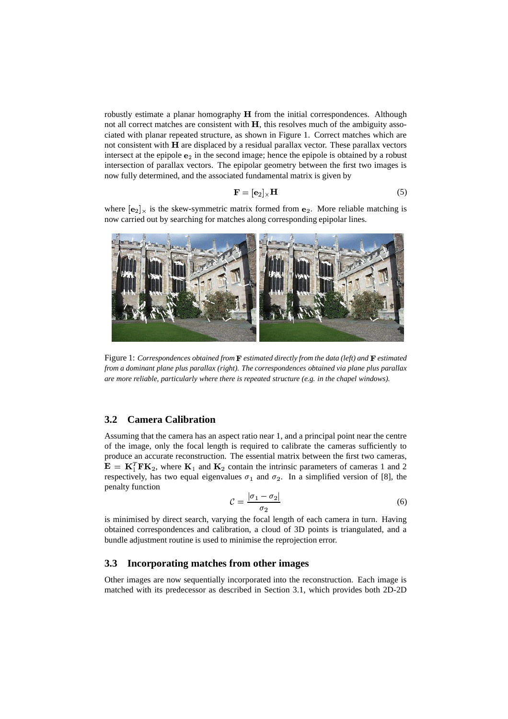robustly estimate a planar homography  $H$  from the initial correspondences. Although not all correct matches are consistent with  $H$ , this resolves much of the ambiguity associated with planar repeated structure, as shown in Figure 1. Correct matches which are not consistent with  $H$  are displaced by a residual parallax vector. These parallax vectors intersect at the epipole  $e_2$  in the second image; hence the epipole is obtained by a robust intersection of parallax vectors. The epipolar geometry between the first two images is now fully determined, and the associated fundamental matrix is given by

$$
\mathbf{F} = [\mathbf{e}_2]_{\times} \mathbf{H} \tag{5}
$$

where  $[e_2]_x$  is the skew-symmetric matrix formed from  $e_2$ . More reliable matching is now carried out by searching for matches along corresponding epipolar lines.



Figure 1: *Correspondences obtained from estimated directly from the data (left) and estimated from a dominant plane plus parallax (right). The correspondences obtained via plane plus parallax are more reliable, particularly where there is repeated structure (e.g. in the chapel windows).*

#### **3.2 Camera Calibration**

Assuming that the camera has an aspect ratio near 1, and a principal point near the centre of the image, only the focal length is required to calibrate the cameras sufficiently to produce an accurate reconstruction. The essential matrix between the first two cameras, **, where**  $**K**<sub>1</sub>$  **and**  $**K**<sub>2</sub>$  **contain the intrinsic parameters of cameras 1 and 2** respectively, has two equal eigenvalues  $\sigma_1$  and  $\sigma_2$ . In a simplified version of [8], the penalty function

$$
\mathcal{C} = \frac{|\sigma_1 - \sigma_2|}{\sigma_2} \tag{6}
$$

is minimised by direct search, varying the focal length of each camera in turn. Having obtained correspondences and calibration, a cloud of 3D points is triangulated, and a bundle adjustment routine is used to minimise the reprojection error.

#### **3.3 Incorporating matches from other images**

Other images are now sequentially incorporated into the reconstruction. Each image is matched with its predecessor as described in Section 3.1, which provides both 2D-2D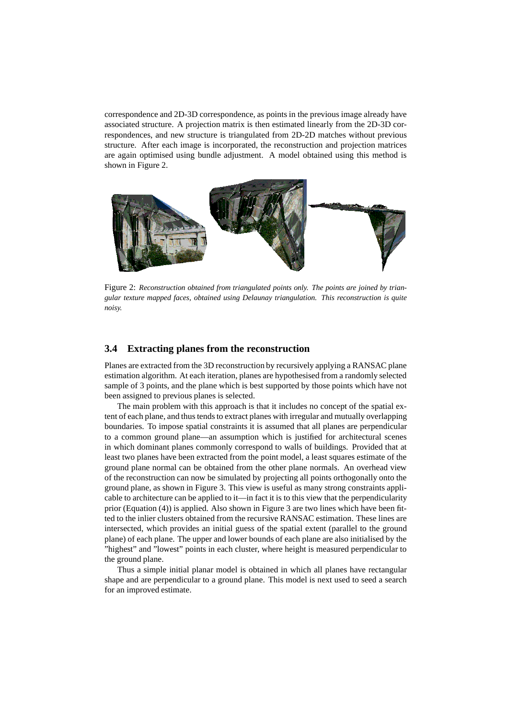correspondence and 2D-3D correspondence, as points in the previous image already have associated structure. A projection matrix is then estimated linearly from the 2D-3D correspondences, and new structure is triangulated from 2D-2D matches without previous structure. After each image is incorporated, the reconstruction and projection matrices are again optimised using bundle adjustment. A model obtained using this method is shown in Figure 2.



Figure 2: *Reconstruction obtained from triangulated points only. The points are joined by triangular texture mapped faces, obtained using Delaunay triangulation. This reconstruction is quite noisy.*

### **3.4 Extracting planes from the reconstruction**

Planes are extracted from the 3D reconstruction by recursively applying a RANSAC plane estimation algorithm. At each iteration, planes are hypothesised from a randomly selected sample of 3 points, and the plane which is best supported by those points which have not been assigned to previous planes is selected.

The main problem with this approach is that it includes no concept of the spatial extent of each plane, and thus tends to extract planes with irregular and mutually overlapping boundaries. To impose spatial constraints it is assumed that all planes are perpendicular to a common ground plane—an assumption which is justified for architectural scenes in which dominant planes commonly correspond to walls of buildings. Provided that at least two planes have been extracted from the point model, a least squares estimate of the ground plane normal can be obtained from the other plane normals. An overhead view of the reconstruction can now be simulated by projecting all points orthogonally onto the ground plane, as shown in Figure 3. This view is useful as many strong constraints applicable to architecture can be applied to it—in fact it is to this view that the perpendicularity prior (Equation (4)) is applied. Also shown in Figure 3 are two lines which have been fitted to the inlier clusters obtained from the recursive RANSAC estimation. These lines are intersected, which provides an initial guess of the spatial extent (parallel to the ground plane) of each plane. The upper and lower bounds of each plane are also initialised by the "highest" and "lowest" points in each cluster, where height is measured perpendicular to the ground plane.

Thus a simple initial planar model is obtained in which all planes have rectangular shape and are perpendicular to a ground plane. This model is next used to seed a search for an improved estimate.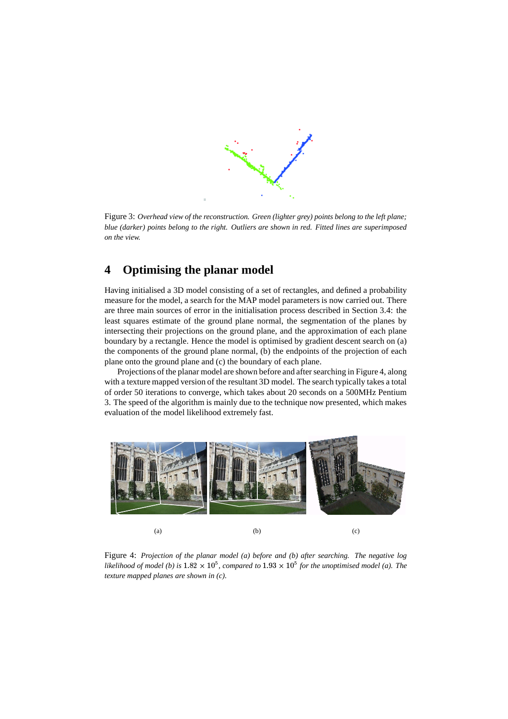

Figure 3: *Overhead view of the reconstruction. Green (lighter grey) points belong to the left plane; blue (darker) points belong to the right. Outliers are shown in red. Fitted lines are superimposed on the view.*

## **4 Optimising the planar model**

Having initialised a 3D model consisting of a set of rectangles, and defined a probability measure for the model, a search for the MAP model parameters is now carried out. There are three main sources of error in the initialisation process described in Section 3.4: the least squares estimate of the ground plane normal, the segmentation of the planes by intersecting their projections on the ground plane, and the approximation of each plane boundary by a rectangle. Hence the model is optimised by gradient descent search on (a) the components of the ground plane normal, (b) the endpoints of the projection of each plane onto the ground plane and (c) the boundary of each plane.

Projections of the planar model are shown before and aftersearching in Figure 4, along with a texture mapped version of the resultant 3D model. The search typically takes a total of order 50 iterations to converge, which takes about 20 seconds on a 500MHz Pentium 3. The speed of the algorithm is mainly due to the technique now presented, which makes evaluation of the model likelihood extremely fast.



Figure 4: *Projection of the planar model (a) before and (b) after searching. The negative log likelihood of model* (*b*) *is*  $1.82 \times 10^5$ , *compared to*  $1.93 \times 10^5$  *for the unoptimised model* (*a*). The *texture mapped planes are shown in (c).*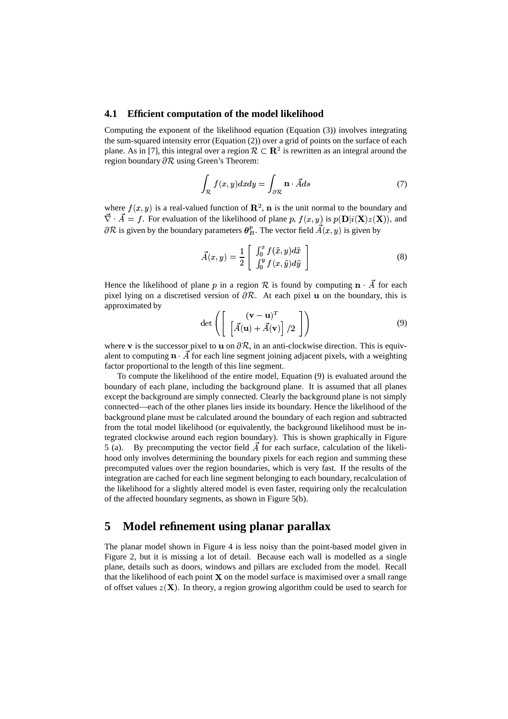#### **4.1 Efficient computation of the model likelihood**

Computing the exponent of the likelihood equation (Equation (3)) involves integrating the sum-squared intensity error (Equation (2)) over a grid of points on the surface of each plane. As in [7], this integral over a region  $\mathcal{R} \subset \mathbb{R}^2$  is rewritten as an integral around the region boundary  $\partial \mathcal{R}$  using Green's Theorem:

$$
\int_{\mathcal{R}} f(x, y) dx dy = \int_{\partial \mathcal{R}} \mathbf{n} \cdot \vec{A} ds \tag{7}
$$

where  $f(x, y)$  is a real-valued function of  $\mathbb{R}^2$ , **n** is the unit normal to the boundary and  $\vec{\nabla} \cdot \vec{A} = f$ . For evaluation of the likelihood of plane p,  $f(x, y)$  is  $p(\mathbf{D}|i(\mathbf{X})z(\mathbf{X}))$ , and  $\partial \mathcal{R}$  is given by the boundary parameters  $\theta_R^p$ . The vector field  $A(x, y)$  is given by

$$
\vec{A}(x,y) = \frac{1}{2} \left[ \begin{array}{c} \int_0^x f(\tilde{x},y) d\tilde{x} \\ \int_0^y f(x,\tilde{y}) d\tilde{y} \end{array} \right]
$$
(8)

Hence the likelihood of plane p in a region R is found by computing  $\mathbf{n} \cdot \vec{A}$  for each pixel lying on a discretised version of  $\partial \mathcal{R}$ . At each pixel  $\bf{u}$  on the boundary, this is approximated by (

$$
\det\left(\left[\begin{array}{c} (\mathbf{v}-\mathbf{u})^T\\ \left[\vec{A}(\mathbf{u})+\vec{A}(\mathbf{v})\right]/2 \end{array}\right]\right) \tag{9}
$$

where v is the successor pixel to  $\bf{u}$  on  $\partial \mathcal{R}$ , in an anti-clockwise direction. This is equivwhere  $\vec{v}$  is the successor pixel to  $\vec{u}$  on  $\partial \vec{v}$ , in an and-clockwise direction. This is equivalent to computing  $\vec{n} \cdot \vec{A}$  for each line segment joining adjacent pixels, with a weighting factor proportional to the length of this line segment.

To compute the likelihood of the entire model, Equation (9) is evaluated around the boundary of each plane, including the background plane. It is assumed that all planes except the background are simply connected. Clearly the background plane is not simply connected—each of the other planes lies inside its boundary. Hence the likelihood of the background plane must be calculated around the boundary of each region and subtracted from the total model likelihood (or equivalently, the background likelihood must be integrated clockwise around each region boundary). This is shown graphically in Figure 5 (a). By precomputing the vector field  $\vec{A}$  for each surface, calculation of the likelihood only involves determining the boundary pixels for each region and summing these precomputed values over the region boundaries, which is very fast. If the results of the integration are cached for each line segment belonging to each boundary, recalculation of the likelihood for a slightly altered model is even faster, requiring only the recalculation of the affected boundary segments, as shown in Figure 5(b).

## **5 Model refinement using planar parallax**

The planar model shown in Figure 4 is less noisy than the point-based model given in Figure 2, but it is missing a lot of detail. Because each wall is modelled as a single plane, details such as doors, windows and pillars are excluded from the model. Recall that the likelihood of each point  $X$  on the model surface is maximised over a small range of offset values  $z(X)$ . In theory, a region growing algorithm could be used to search for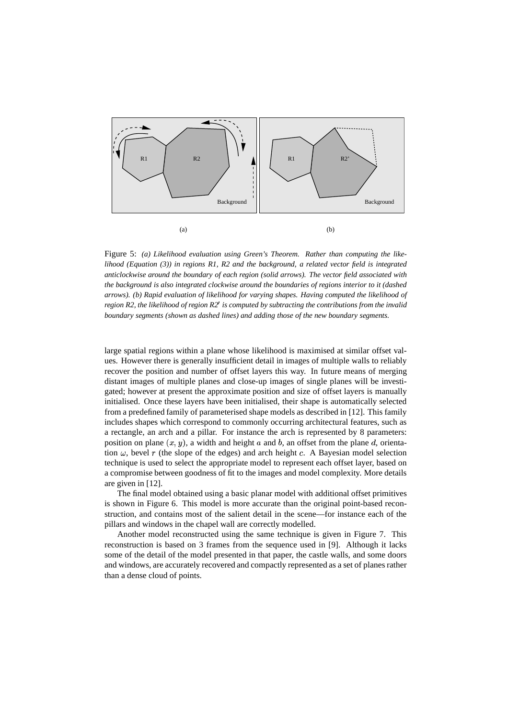

Figure 5: *(a) Likelihood evaluation using Green's Theorem. Rather than computing the likelihood (Equation (3)) in regions R1, R2 and the background, a related vector field is integrated anticlockwise around the boundary of each region (solid arrows). The vector field associated with the background is also integrated clockwise around the boundaries of regions interior to it (dashed arrows). (b) Rapid evaluation of likelihood for varying shapes. Having computed the likelihood of region R2, the likelihood of region R2 is computed by subtracting the contributions from the invalid boundary segments (shown as dashed lines) and adding those of the new boundary segments.*

large spatial regions within a plane whose likelihood is maximised at similar offset values. However there is generally insufficient detail in images of multiple walls to reliably recover the position and number of offset layers this way. In future means of merging distant images of multiple planes and close-up images of single planes will be investigated; however at present the approximate position and size of offset layers is manually initialised. Once these layers have been initialised, their shape is automatically selected from a predefined family of parameterised shape models as described in [12]. This family includes shapes which correspond to commonly occurring architectural features, such as a rectangle, an arch and a pillar. For instance the arch is represented by 8 parameters: position on plane  $(x, y)$ , a width and height a and b, an offset from the plane d, orientation  $\omega$ , bevel r (the slope of the edges) and arch height c. A Bayesian model selection technique is used to select the appropriate model to represent each offset layer, based on a compromise between goodness of fit to the images and model complexity. More details are given in [12].

The final model obtained using a basic planar model with additional offset primitives is shown in Figure 6. This model is more accurate than the original point-based reconstruction, and contains most of the salient detail in the scene—for instance each of the pillars and windows in the chapel wall are correctly modelled.

Another model reconstructed using the same technique is given in Figure 7. This reconstruction is based on 3 frames from the sequence used in [9]. Although it lacks some of the detail of the model presented in that paper, the castle walls, and some doors and windows, are accurately recovered and compactly represented as a set of planes rather than a dense cloud of points.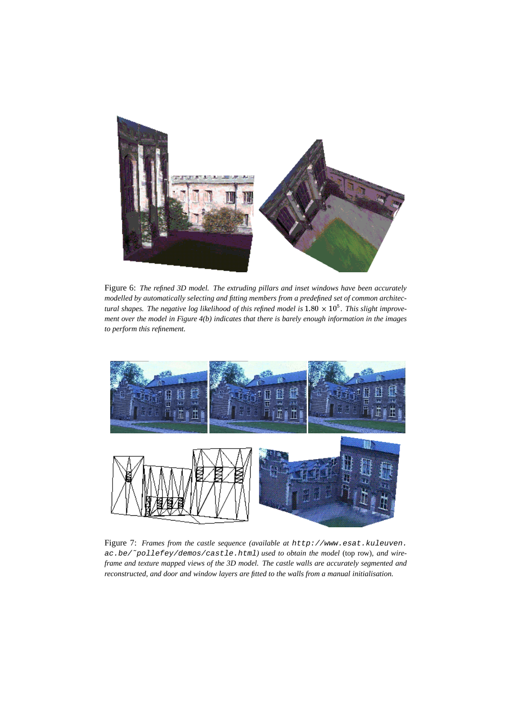

Figure 6: *The refined 3D model. The extruding pillars and inset windows have been accurately modelled by automatically selecting and fitting members from a predefined set of common architectural shapes. The negative log likelihood of this refined model is*  $1.80 \times 10^5$ . This slight improve*ment over the model in Figure 4(b) indicates that there is barely enough information in the images to perform this refinement.*



Figure 7: *Frames from the castle sequence (available at* http://www.esat.kuleuven. ac.be/˜pollefey/demos/castle.html*) used to obtain the model* (top row)*, and wireframe and texture mapped views of the 3D model. The castle walls are accurately segmented and reconstructed, and door and window layers are fitted to the walls from a manual initialisation.*